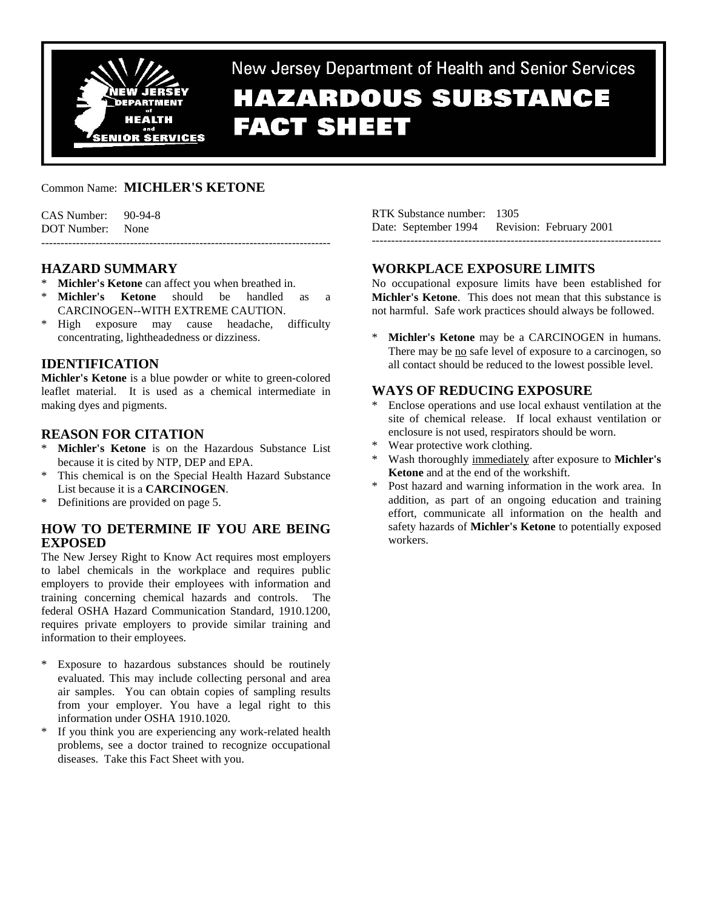

New Jersey Department of Health and Senior Services **HAZARDOUS SUBSTANCE FACT SHEET** 

## Common Name: **MICHLER'S KETONE**

| $CAS$ Number: $90-94-8$ |  |
|-------------------------|--|
| DOT Number: None        |  |
|                         |  |

### **HAZARD SUMMARY**

- **Michler's Ketone** can affect you when breathed in.
- \* **Michler's Ketone** should be handled as a CARCINOGEN--WITH EXTREME CAUTION.
- \* High exposure may cause headache, difficulty concentrating, lightheadedness or dizziness.

## **IDENTIFICATION**

**Michler's Ketone** is a blue powder or white to green-colored leaflet material. It is used as a chemical intermediate in making dyes and pigments.

## **REASON FOR CITATION**

- **Michler's Ketone** is on the Hazardous Substance List because it is cited by NTP, DEP and EPA.
- \* This chemical is on the Special Health Hazard Substance List because it is a **CARCINOGEN**.
- Definitions are provided on page 5.

## **HOW TO DETERMINE IF YOU ARE BEING EXPOSED**

The New Jersey Right to Know Act requires most employers to label chemicals in the workplace and requires public employers to provide their employees with information and training concerning chemical hazards and controls. The federal OSHA Hazard Communication Standard, 1910.1200, requires private employers to provide similar training and information to their employees.

- \* Exposure to hazardous substances should be routinely evaluated. This may include collecting personal and area air samples. You can obtain copies of sampling results from your employer. You have a legal right to this information under OSHA 1910.1020.
- \* If you think you are experiencing any work-related health problems, see a doctor trained to recognize occupational diseases. Take this Fact Sheet with you.

RTK Substance number: 1305 Date: September 1994 Revision: February 2001 ---------------------------------------------------------------------------

## **WORKPLACE EXPOSURE LIMITS**

No occupational exposure limits have been established for **Michler's Ketone**. This does not mean that this substance is not harmful. Safe work practices should always be followed.

\* **Michler's Ketone** may be a CARCINOGEN in humans. There may be no safe level of exposure to a carcinogen, so all contact should be reduced to the lowest possible level.

## **WAYS OF REDUCING EXPOSURE**

- Enclose operations and use local exhaust ventilation at the site of chemical release. If local exhaust ventilation or enclosure is not used, respirators should be worn.
- Wear protective work clothing.
- \* Wash thoroughly immediately after exposure to **Michler's Ketone** and at the end of the workshift.
- Post hazard and warning information in the work area. In addition, as part of an ongoing education and training effort, communicate all information on the health and safety hazards of **Michler's Ketone** to potentially exposed workers.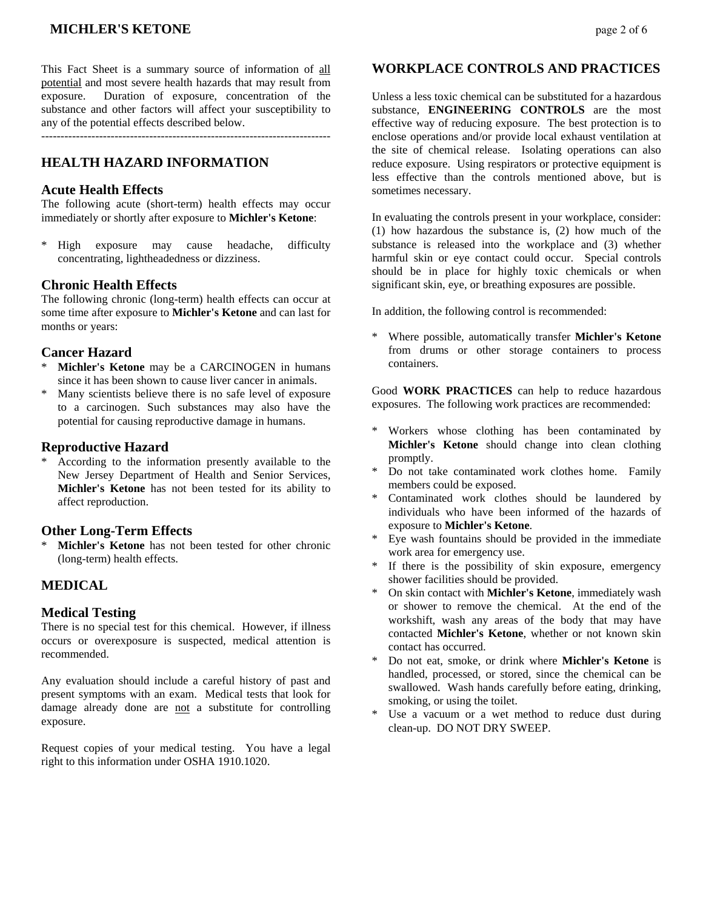## **MICHLER'S KETONE** *page 2 of 6*

This Fact Sheet is a summary source of information of all potential and most severe health hazards that may result from exposure. Duration of exposure, concentration of the substance and other factors will affect your susceptibility to any of the potential effects described below.

---------------------------------------------------------------------------

## **HEALTH HAZARD INFORMATION**

#### **Acute Health Effects**

The following acute (short-term) health effects may occur immediately or shortly after exposure to **Michler's Ketone**:

\* High exposure may cause headache, difficulty concentrating, lightheadedness or dizziness.

#### **Chronic Health Effects**

The following chronic (long-term) health effects can occur at some time after exposure to **Michler's Ketone** and can last for months or years:

#### **Cancer Hazard**

- \* **Michler's Ketone** may be a CARCINOGEN in humans since it has been shown to cause liver cancer in animals.
- \* Many scientists believe there is no safe level of exposure to a carcinogen. Such substances may also have the potential for causing reproductive damage in humans.

#### **Reproductive Hazard**

According to the information presently available to the New Jersey Department of Health and Senior Services, **Michler's Ketone** has not been tested for its ability to affect reproduction.

#### **Other Long-Term Effects**

**Michler's Ketone** has not been tested for other chronic (long-term) health effects.

### **MEDICAL**

#### **Medical Testing**

There is no special test for this chemical. However, if illness occurs or overexposure is suspected, medical attention is recommended.

Any evaluation should include a careful history of past and present symptoms with an exam. Medical tests that look for damage already done are not a substitute for controlling exposure.

Request copies of your medical testing. You have a legal right to this information under OSHA 1910.1020.

#### **WORKPLACE CONTROLS AND PRACTICES**

Unless a less toxic chemical can be substituted for a hazardous substance, **ENGINEERING CONTROLS** are the most effective way of reducing exposure. The best protection is to enclose operations and/or provide local exhaust ventilation at the site of chemical release. Isolating operations can also reduce exposure. Using respirators or protective equipment is less effective than the controls mentioned above, but is sometimes necessary.

In evaluating the controls present in your workplace, consider: (1) how hazardous the substance is, (2) how much of the substance is released into the workplace and (3) whether harmful skin or eye contact could occur. Special controls should be in place for highly toxic chemicals or when significant skin, eye, or breathing exposures are possible.

In addition, the following control is recommended:

\* Where possible, automatically transfer **Michler's Ketone** from drums or other storage containers to process containers.

Good **WORK PRACTICES** can help to reduce hazardous exposures. The following work practices are recommended:

- \* Workers whose clothing has been contaminated by **Michler's Ketone** should change into clean clothing promptly.
- Do not take contaminated work clothes home. Family members could be exposed.
- Contaminated work clothes should be laundered by individuals who have been informed of the hazards of exposure to **Michler's Ketone**.
- Eye wash fountains should be provided in the immediate work area for emergency use.
- \* If there is the possibility of skin exposure, emergency shower facilities should be provided.
- \* On skin contact with **Michler's Ketone**, immediately wash or shower to remove the chemical. At the end of the workshift, wash any areas of the body that may have contacted **Michler's Ketone**, whether or not known skin contact has occurred.
- \* Do not eat, smoke, or drink where **Michler's Ketone** is handled, processed, or stored, since the chemical can be swallowed. Wash hands carefully before eating, drinking, smoking, or using the toilet.
- \* Use a vacuum or a wet method to reduce dust during clean-up. DO NOT DRY SWEEP.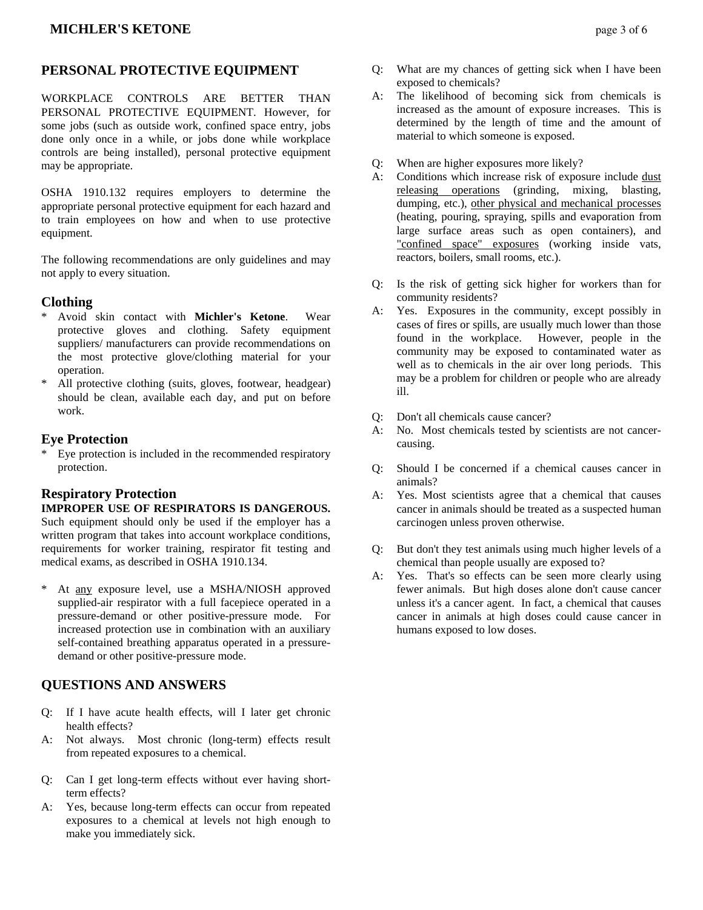## **PERSONAL PROTECTIVE EQUIPMENT**

WORKPLACE CONTROLS ARE BETTER THAN PERSONAL PROTECTIVE EQUIPMENT. However, for some jobs (such as outside work, confined space entry, jobs done only once in a while, or jobs done while workplace controls are being installed), personal protective equipment may be appropriate.

OSHA 1910.132 requires employers to determine the appropriate personal protective equipment for each hazard and to train employees on how and when to use protective equipment.

The following recommendations are only guidelines and may not apply to every situation.

#### **Clothing**

- \* Avoid skin contact with **Michler's Ketone**. Wear protective gloves and clothing. Safety equipment suppliers/ manufacturers can provide recommendations on the most protective glove/clothing material for your operation.
- All protective clothing (suits, gloves, footwear, headgear) should be clean, available each day, and put on before work.

#### **Eye Protection**

\* Eye protection is included in the recommended respiratory protection.

## **Respiratory Protection IMPROPER USE OF RESPIRATORS IS DANGEROUS.**

Such equipment should only be used if the employer has a written program that takes into account workplace conditions, requirements for worker training, respirator fit testing and medical exams, as described in OSHA 1910.134.

At any exposure level, use a MSHA/NIOSH approved supplied-air respirator with a full facepiece operated in a pressure-demand or other positive-pressure mode. For increased protection use in combination with an auxiliary self-contained breathing apparatus operated in a pressuredemand or other positive-pressure mode.

## **QUESTIONS AND ANSWERS**

- Q: If I have acute health effects, will I later get chronic health effects?
- A: Not always. Most chronic (long-term) effects result from repeated exposures to a chemical.
- Q: Can I get long-term effects without ever having shortterm effects?
- A: Yes, because long-term effects can occur from repeated exposures to a chemical at levels not high enough to make you immediately sick.
- Q: What are my chances of getting sick when I have been exposed to chemicals?
- A: The likelihood of becoming sick from chemicals is increased as the amount of exposure increases. This is determined by the length of time and the amount of material to which someone is exposed.
- Q: When are higher exposures more likely?
- A: Conditions which increase risk of exposure include dust releasing operations (grinding, mixing, blasting, dumping, etc.), other physical and mechanical processes (heating, pouring, spraying, spills and evaporation from large surface areas such as open containers), and "confined space" exposures (working inside vats, reactors, boilers, small rooms, etc.).
- Q: Is the risk of getting sick higher for workers than for community residents?
- A: Yes. Exposures in the community, except possibly in cases of fires or spills, are usually much lower than those found in the workplace. However, people in the community may be exposed to contaminated water as well as to chemicals in the air over long periods. This may be a problem for children or people who are already ill.
- Q: Don't all chemicals cause cancer?
- A: No. Most chemicals tested by scientists are not cancercausing.
- Q: Should I be concerned if a chemical causes cancer in animals?
- A: Yes. Most scientists agree that a chemical that causes cancer in animals should be treated as a suspected human carcinogen unless proven otherwise.
- Q: But don't they test animals using much higher levels of a chemical than people usually are exposed to?
- A: Yes. That's so effects can be seen more clearly using fewer animals. But high doses alone don't cause cancer unless it's a cancer agent. In fact, a chemical that causes cancer in animals at high doses could cause cancer in humans exposed to low doses.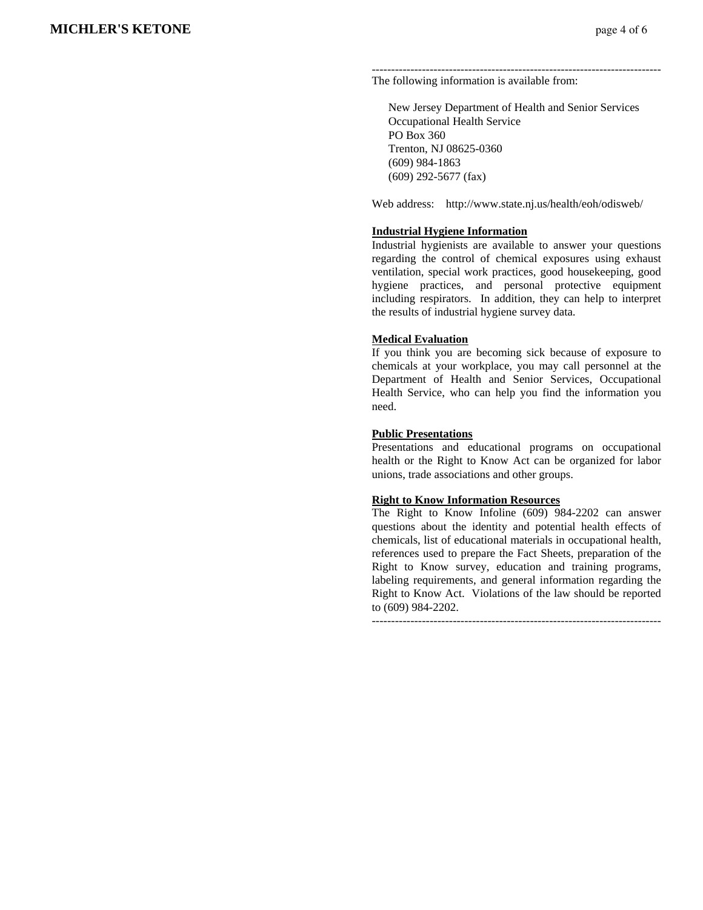--------------------------------------------------------------------------- The following information is available from:

 New Jersey Department of Health and Senior Services Occupational Health Service PO Box 360 Trenton, NJ 08625-0360 (609) 984-1863 (609) 292-5677 (fax)

Web address: http://www.state.nj.us/health/eoh/odisweb/

#### **Industrial Hygiene Information**

Industrial hygienists are available to answer your questions regarding the control of chemical exposures using exhaust ventilation, special work practices, good housekeeping, good hygiene practices, and personal protective equipment including respirators. In addition, they can help to interpret the results of industrial hygiene survey data.

#### **Medical Evaluation**

If you think you are becoming sick because of exposure to chemicals at your workplace, you may call personnel at the Department of Health and Senior Services, Occupational Health Service, who can help you find the information you need.

#### **Public Presentations**

Presentations and educational programs on occupational health or the Right to Know Act can be organized for labor unions, trade associations and other groups.

#### **Right to Know Information Resources**

The Right to Know Infoline (609) 984-2202 can answer questions about the identity and potential health effects of chemicals, list of educational materials in occupational health, references used to prepare the Fact Sheets, preparation of the Right to Know survey, education and training programs, labeling requirements, and general information regarding the Right to Know Act. Violations of the law should be reported to (609) 984-2202.

---------------------------------------------------------------------------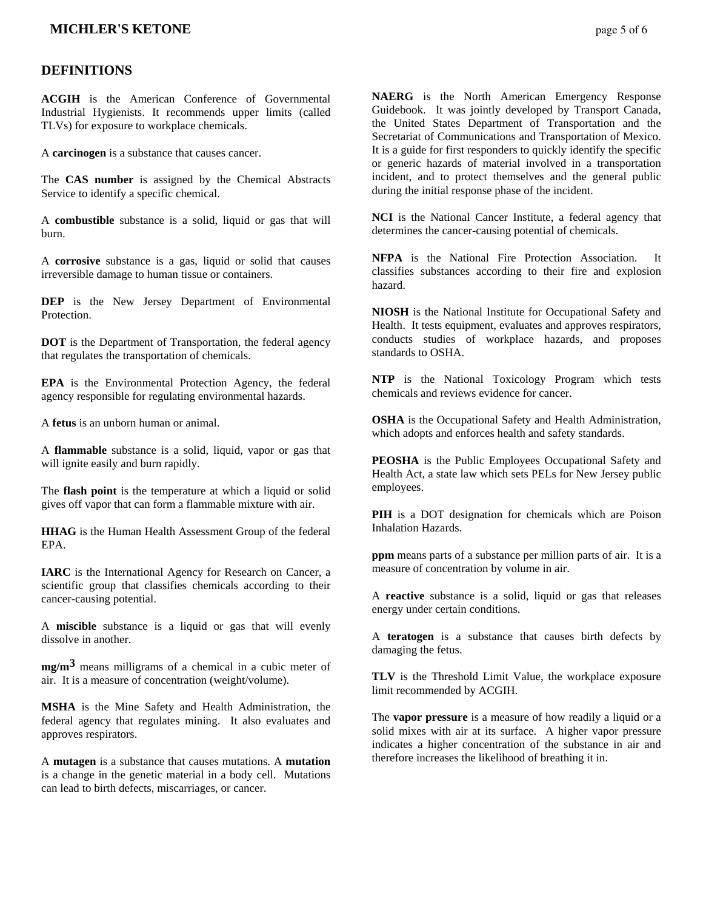### **MICHLER'S KETONE** *page 5 of 6*

#### **DEFINITIONS**

**ACGIH** is the American Conference of Governmental Industrial Hygienists. It recommends upper limits (called TLVs) for exposure to workplace chemicals.

A **carcinogen** is a substance that causes cancer.

The **CAS number** is assigned by the Chemical Abstracts Service to identify a specific chemical.

A **combustible** substance is a solid, liquid or gas that will burn.

A **corrosive** substance is a gas, liquid or solid that causes irreversible damage to human tissue or containers.

**DEP** is the New Jersey Department of Environmental Protection.

**DOT** is the Department of Transportation, the federal agency that regulates the transportation of chemicals.

**EPA** is the Environmental Protection Agency, the federal agency responsible for regulating environmental hazards.

A **fetus** is an unborn human or animal.

A **flammable** substance is a solid, liquid, vapor or gas that will ignite easily and burn rapidly.

The **flash point** is the temperature at which a liquid or solid gives off vapor that can form a flammable mixture with air.

**HHAG** is the Human Health Assessment Group of the federal EPA.

**IARC** is the International Agency for Research on Cancer, a scientific group that classifies chemicals according to their cancer-causing potential.

A **miscible** substance is a liquid or gas that will evenly dissolve in another.

**mg/m3** means milligrams of a chemical in a cubic meter of air. It is a measure of concentration (weight/volume).

**MSHA** is the Mine Safety and Health Administration, the federal agency that regulates mining. It also evaluates and approves respirators.

A **mutagen** is a substance that causes mutations. A **mutation** is a change in the genetic material in a body cell. Mutations can lead to birth defects, miscarriages, or cancer.

**NAERG** is the North American Emergency Response Guidebook. It was jointly developed by Transport Canada, the United States Department of Transportation and the Secretariat of Communications and Transportation of Mexico. It is a guide for first responders to quickly identify the specific or generic hazards of material involved in a transportation incident, and to protect themselves and the general public during the initial response phase of the incident.

**NCI** is the National Cancer Institute, a federal agency that determines the cancer-causing potential of chemicals.

**NFPA** is the National Fire Protection Association. It classifies substances according to their fire and explosion hazard.

**NIOSH** is the National Institute for Occupational Safety and Health. It tests equipment, evaluates and approves respirators, conducts studies of workplace hazards, and proposes standards to OSHA.

**NTP** is the National Toxicology Program which tests chemicals and reviews evidence for cancer.

**OSHA** is the Occupational Safety and Health Administration, which adopts and enforces health and safety standards.

**PEOSHA** is the Public Employees Occupational Safety and Health Act, a state law which sets PELs for New Jersey public employees.

**PIH** is a DOT designation for chemicals which are Poison Inhalation Hazards.

**ppm** means parts of a substance per million parts of air. It is a measure of concentration by volume in air.

A **reactive** substance is a solid, liquid or gas that releases energy under certain conditions.

A **teratogen** is a substance that causes birth defects by damaging the fetus.

**TLV** is the Threshold Limit Value, the workplace exposure limit recommended by ACGIH.

The **vapor pressure** is a measure of how readily a liquid or a solid mixes with air at its surface. A higher vapor pressure indicates a higher concentration of the substance in air and therefore increases the likelihood of breathing it in.